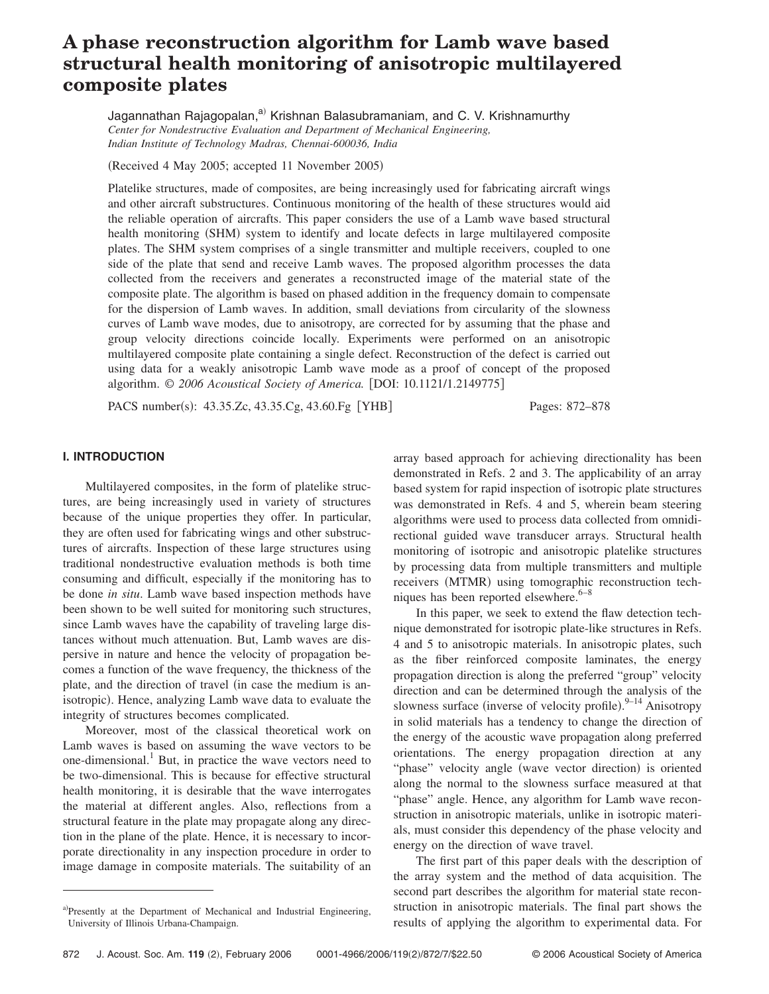# **A phase reconstruction algorithm for Lamb wave based structural health monitoring of anisotropic multilayered composite plates**

Jagannathan Rajagopalan,<sup>a)</sup> Krishnan Balasubramaniam, and C. V. Krishnamurthy *Center for Nondestructive Evaluation and Department of Mechanical Engineering, Indian Institute of Technology Madras, Chennai-600036, India*

(Received 4 May 2005; accepted 11 November 2005)

Platelike structures, made of composites, are being increasingly used for fabricating aircraft wings and other aircraft substructures. Continuous monitoring of the health of these structures would aid the reliable operation of aircrafts. This paper considers the use of a Lamb wave based structural health monitoring (SHM) system to identify and locate defects in large multilayered composite plates. The SHM system comprises of a single transmitter and multiple receivers, coupled to one side of the plate that send and receive Lamb waves. The proposed algorithm processes the data collected from the receivers and generates a reconstructed image of the material state of the composite plate. The algorithm is based on phased addition in the frequency domain to compensate for the dispersion of Lamb waves. In addition, small deviations from circularity of the slowness curves of Lamb wave modes, due to anisotropy, are corrected for by assuming that the phase and group velocity directions coincide locally. Experiments were performed on an anisotropic multilayered composite plate containing a single defect. Reconstruction of the defect is carried out using data for a weakly anisotropic Lamb wave mode as a proof of concept of the proposed algorithm. © *2006 Acoustical Society of America.* DOI: 10.1121/1.2149775

PACS number(s): 43.35.Zc, 43.35.Cg, 43.60.Fg [YHB] Pages: 872–878

# **I. INTRODUCTION**

Multilayered composites, in the form of platelike structures, are being increasingly used in variety of structures because of the unique properties they offer. In particular, they are often used for fabricating wings and other substructures of aircrafts. Inspection of these large structures using traditional nondestructive evaluation methods is both time consuming and difficult, especially if the monitoring has to be done *in situ*. Lamb wave based inspection methods have been shown to be well suited for monitoring such structures, since Lamb waves have the capability of traveling large distances without much attenuation. But, Lamb waves are dispersive in nature and hence the velocity of propagation becomes a function of the wave frequency, the thickness of the plate, and the direction of travel (in case the medium is anisotropic). Hence, analyzing Lamb wave data to evaluate the integrity of structures becomes complicated.

Moreover, most of the classical theoretical work on Lamb waves is based on assuming the wave vectors to be one-dimensional.<sup>1</sup> But, in practice the wave vectors need to be two-dimensional. This is because for effective structural health monitoring, it is desirable that the wave interrogates the material at different angles. Also, reflections from a structural feature in the plate may propagate along any direction in the plane of the plate. Hence, it is necessary to incorporate directionality in any inspection procedure in order to image damage in composite materials. The suitability of an

array based approach for achieving directionality has been demonstrated in Refs. 2 and 3. The applicability of an array based system for rapid inspection of isotropic plate structures was demonstrated in Refs. 4 and 5, wherein beam steering algorithms were used to process data collected from omnidirectional guided wave transducer arrays. Structural health monitoring of isotropic and anisotropic platelike structures by processing data from multiple transmitters and multiple receivers (MTMR) using tomographic reconstruction techniques has been reported elsewhere. $6-8$ 

In this paper, we seek to extend the flaw detection technique demonstrated for isotropic plate-like structures in Refs. 4 and 5 to anisotropic materials. In anisotropic plates, such as the fiber reinforced composite laminates, the energy propagation direction is along the preferred "group" velocity direction and can be determined through the analysis of the slowness surface (inverse of velocity profile).<sup>9-14</sup> Anisotropy in solid materials has a tendency to change the direction of the energy of the acoustic wave propagation along preferred orientations. The energy propagation direction at any "phase" velocity angle (wave vector direction) is oriented along the normal to the slowness surface measured at that "phase" angle. Hence, any algorithm for Lamb wave reconstruction in anisotropic materials, unlike in isotropic materials, must consider this dependency of the phase velocity and energy on the direction of wave travel.

The first part of this paper deals with the description of the array system and the method of data acquisition. The second part describes the algorithm for material state reconstruction in anisotropic materials. The final part shows the results of applying the algorithm to experimental data. For

a)Presently at the Department of Mechanical and Industrial Engineering, University of Illinois Urbana-Champaign.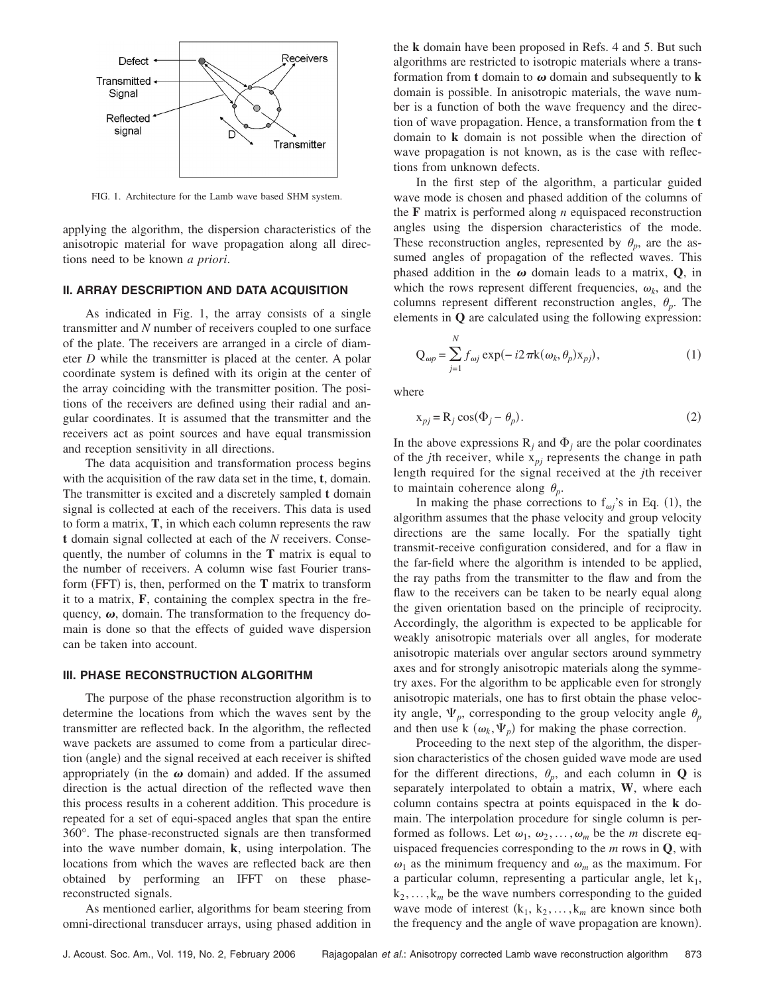

FIG. 1. Architecture for the Lamb wave based SHM system.

applying the algorithm, the dispersion characteristics of the anisotropic material for wave propagation along all directions need to be known *a priori*.

## **II. ARRAY DESCRIPTION AND DATA ACQUISITION**

As indicated in Fig. 1, the array consists of a single transmitter and *N* number of receivers coupled to one surface of the plate. The receivers are arranged in a circle of diameter *D* while the transmitter is placed at the center. A polar coordinate system is defined with its origin at the center of the array coinciding with the transmitter position. The positions of the receivers are defined using their radial and angular coordinates. It is assumed that the transmitter and the receivers act as point sources and have equal transmission and reception sensitivity in all directions.

The data acquisition and transformation process begins with the acquisition of the raw data set in the time, **t**, domain. The transmitter is excited and a discretely sampled **t** domain signal is collected at each of the receivers. This data is used to form a matrix, **T**, in which each column represents the raw **t** domain signal collected at each of the *N* receivers. Consequently, the number of columns in the **T** matrix is equal to the number of receivers. A column wise fast Fourier transform (FFT) is, then, performed on the **T** matrix to transform it to a matrix, **F**, containing the complex spectra in the frequency,  $\omega$ , domain. The transformation to the frequency domain is done so that the effects of guided wave dispersion can be taken into account.

#### **III. PHASE RECONSTRUCTION ALGORITHM**

The purpose of the phase reconstruction algorithm is to determine the locations from which the waves sent by the transmitter are reflected back. In the algorithm, the reflected wave packets are assumed to come from a particular direction (angle) and the signal received at each receiver is shifted appropriately (in the  $\omega$  domain) and added. If the assumed direction is the actual direction of the reflected wave then this process results in a coherent addition. This procedure is repeated for a set of equi-spaced angles that span the entire 360°. The phase-reconstructed signals are then transformed into the wave number domain, **k**, using interpolation. The locations from which the waves are reflected back are then obtained by performing an IFFT on these phasereconstructed signals.

As mentioned earlier, algorithms for beam steering from omni-directional transducer arrays, using phased addition in the **k** domain have been proposed in Refs. 4 and 5. But such algorithms are restricted to isotropic materials where a transformation from **t** domain to  $\omega$  domain and subsequently to **k** domain is possible. In anisotropic materials, the wave number is a function of both the wave frequency and the direction of wave propagation. Hence, a transformation from the **t** domain to **k** domain is not possible when the direction of wave propagation is not known, as is the case with reflections from unknown defects.

In the first step of the algorithm, a particular guided wave mode is chosen and phased addition of the columns of the **F** matrix is performed along *n* equispaced reconstruction angles using the dispersion characteristics of the mode. These reconstruction angles, represented by  $\theta_p$ , are the assumed angles of propagation of the reflected waves. This phased addition in the  $\omega$  domain leads to a matrix,  $Q$ , in which the rows represent different frequencies,  $\omega_k$ , and the columns represent different reconstruction angles,  $\theta_p$ . The elements in **Q** are calculated using the following expression:

$$
Q_{\omega p} = \sum_{j=1}^{N} f_{\omega j} \exp(-i2\pi k(\omega_k, \theta_p) x_{pj}),
$$
\n(1)

where

$$
x_{pj} = R_j \cos(\Phi_j - \theta_p). \tag{2}
$$

In the above expressions  $R_j$  and  $\Phi_j$  are the polar coordinates of the *j*th receiver, while  $x_{pj}$  represents the change in path length required for the signal received at the *j*th receiver to maintain coherence along  $\theta_n$ .

In making the phase corrections to  $f_{\omega j}$ 's in Eq. (1), the algorithm assumes that the phase velocity and group velocity directions are the same locally. For the spatially tight transmit-receive configuration considered, and for a flaw in the far-field where the algorithm is intended to be applied, the ray paths from the transmitter to the flaw and from the flaw to the receivers can be taken to be nearly equal along the given orientation based on the principle of reciprocity. Accordingly, the algorithm is expected to be applicable for weakly anisotropic materials over all angles, for moderate anisotropic materials over angular sectors around symmetry axes and for strongly anisotropic materials along the symmetry axes. For the algorithm to be applicable even for strongly anisotropic materials, one has to first obtain the phase velocity angle,  $\Psi_p$ , corresponding to the group velocity angle  $\theta_p$ and then use  $k(\omega_k, \Psi_p)$  for making the phase correction.

Proceeding to the next step of the algorithm, the dispersion characteristics of the chosen guided wave mode are used for the different directions,  $\theta_p$ , and each column in **Q** is separately interpolated to obtain a matrix, **W**, where each column contains spectra at points equispaced in the **k** domain. The interpolation procedure for single column is performed as follows. Let  $\omega_1, \omega_2, \ldots, \omega_m$  be the *m* discrete equispaced frequencies corresponding to the *m* rows in **Q**, with  $\omega_1$  as the minimum frequency and  $\omega_m$  as the maximum. For a particular column, representing a particular angle, let  $k_1$ ,  $k_2$ , ...,  $k_m$  be the wave numbers corresponding to the guided wave mode of interest  $(k_1, k_2, \ldots, k_m$  are known since both the frequency and the angle of wave propagation are known).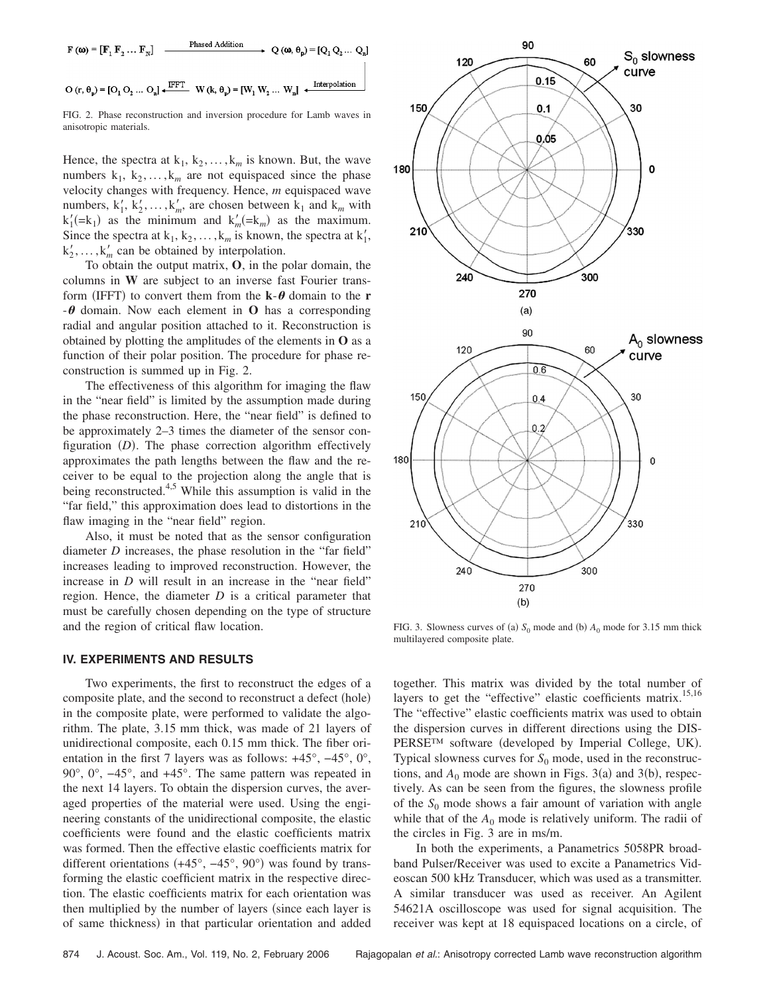$$
\mathbf{F}(\mathbf{\omega}) = [\mathbf{F}_1 \mathbf{F}_2 \dots \mathbf{F}_N] \longrightarrow \mathbf{Q}(\mathbf{\omega}, \theta_p) = [Q_1 Q_2 \dots Q_n]
$$
  
\n
$$
\mathbf{O}(\mathbf{r}, \theta_1) = [O_1 O_2 \dots O_n] \leftarrow \frac{\mathbf{I} \mathbf{F} \mathbf{F} \mathbf{T}}{\mathbf{F} \mathbf{F} \mathbf{T}} \quad \mathbf{W}(\mathbf{k}, \theta_1) = [\mathbf{W}, \mathbf{W}, \dots, \mathbf{W}_n] \leftarrow \frac{\text{Interpolation}}{\mathbf{F} \mathbf{F} \mathbf{F} \mathbf{F} \mathbf{F} \mathbf{F} \mathbf{F} \mathbf{F} \mathbf{F} \mathbf{F} \mathbf{F} \mathbf{F} \mathbf{F} \mathbf{F} \mathbf{F} \mathbf{F} \mathbf{F} \mathbf{F} \mathbf{F} \mathbf{F} \mathbf{F} \mathbf{F} \mathbf{F} \mathbf{F} \mathbf{F} \mathbf{F} \mathbf{F} \mathbf{F} \mathbf{F} \mathbf{F} \mathbf{F} \mathbf{F} \mathbf{F} \mathbf{F} \mathbf{F} \mathbf{F} \mathbf{F} \mathbf{F} \mathbf{F} \mathbf{F} \mathbf{F} \mathbf{F} \mathbf{F} \mathbf{F} \mathbf{F} \mathbf{F} \mathbf{F} \mathbf{F} \mathbf{F} \mathbf{F} \mathbf{F} \mathbf{F} \mathbf{F} \mathbf{F} \mathbf{F} \mathbf{F} \mathbf{F} \mathbf{F} \mathbf{F} \mathbf{F} \mathbf{F} \mathbf{F} \mathbf{F} \mathbf{F} \mathbf{F} \mathbf{F} \mathbf{F} \mathbf{F} \mathbf{F} \mathbf{F} \mathbf{F} \mathbf{F} \mathbf{F} \mathbf{F} \mathbf{F} \mathbf{F} \mathbf{F} \mathbf{F} \mathbf{F} \mathbf{F} \mathbf{F} \mathbf{F} \mathbf{F} \mathbf{F} \mathbf{F} \mathbf{F} \mathbf{F} \mathbf{F} \mathbf{F} \mathbf{F} \mathbf{F} \mathbf{F} \math
$$

FIG. 2. Phase reconstruction and inversion procedure for Lamb waves in anisotropic materials.

Hence, the spectra at  $k_1, k_2, \ldots, k_m$  is known. But, the wave numbers  $k_1, k_2, \ldots, k_m$  are not equispaced since the phase velocity changes with frequency. Hence, *m* equispaced wave numbers,  $k'_1, k'_2, \ldots, k'_m$ , are chosen between  $k_1$  and  $k_m$  with  $k'_1$ (=k<sub>1</sub>) as the minimum and  $k'_m$ (=k<sub>m</sub>) as the maximum. Since the spectra at  $k_1, k_2, ..., k_m$  is known, the spectra at  $k'_1$ ,  $k'_2, \ldots, k'_m$  can be obtained by interpolation.

To obtain the output matrix, **O**, in the polar domain, the columns in **W** are subject to an inverse fast Fourier transform (IFFT) to convert them from the  $\mathbf{k}$ - $\boldsymbol{\theta}$  domain to the **r**  $-\theta$  domain. Now each element in **O** has a corresponding radial and angular position attached to it. Reconstruction is obtained by plotting the amplitudes of the elements in **O** as a function of their polar position. The procedure for phase reconstruction is summed up in Fig. 2.

The effectiveness of this algorithm for imaging the flaw in the "near field" is limited by the assumption made during the phase reconstruction. Here, the "near field" is defined to be approximately 2–3 times the diameter of the sensor configuration (D). The phase correction algorithm effectively approximates the path lengths between the flaw and the receiver to be equal to the projection along the angle that is being reconstructed.<sup>4,5</sup> While this assumption is valid in the "far field," this approximation does lead to distortions in the flaw imaging in the "near field" region.

Also, it must be noted that as the sensor configuration diameter *D* increases, the phase resolution in the "far field" increases leading to improved reconstruction. However, the increase in *D* will result in an increase in the "near field" region. Hence, the diameter *D* is a critical parameter that must be carefully chosen depending on the type of structure and the region of critical flaw location.

## **IV. EXPERIMENTS AND RESULTS**

Two experiments, the first to reconstruct the edges of a composite plate, and the second to reconstruct a defect (hole) in the composite plate, were performed to validate the algorithm. The plate, 3.15 mm thick, was made of 21 layers of unidirectional composite, each 0.15 mm thick. The fiber orientation in the first 7 layers was as follows:  $+45^{\circ}$ ,  $-45^{\circ}$ ,  $0^{\circ}$ , 90°, 0°, −45°, and +45°. The same pattern was repeated in the next 14 layers. To obtain the dispersion curves, the averaged properties of the material were used. Using the engineering constants of the unidirectional composite, the elastic coefficients were found and the elastic coefficients matrix was formed. Then the effective elastic coefficients matrix for different orientations  $(+45^\circ, -45^\circ, 90^\circ)$  was found by transforming the elastic coefficient matrix in the respective direction. The elastic coefficients matrix for each orientation was then multiplied by the number of layers (since each layer is of same thickness) in that particular orientation and added



FIG. 3. Slowness curves of (a)  $S_0$  mode and (b)  $A_0$  mode for 3.15 mm thick multilayered composite plate.

together. This matrix was divided by the total number of layers to get the "effective" elastic coefficients matrix.<sup>15,16</sup> The "effective" elastic coefficients matrix was used to obtain the dispersion curves in different directions using the DIS-PERSE<sup>TM</sup> software (developed by Imperial College, UK). Typical slowness curves for  $S_0$  mode, used in the reconstructions, and  $A_0$  mode are shown in Figs. 3(a) and 3(b), respectively. As can be seen from the figures, the slowness profile of the  $S_0$  mode shows a fair amount of variation with angle while that of the  $A_0$  mode is relatively uniform. The radii of the circles in Fig. 3 are in ms/m.

In both the experiments, a Panametrics 5058PR broadband Pulser/Receiver was used to excite a Panametrics Videoscan 500 kHz Transducer, which was used as a transmitter. A similar transducer was used as receiver. An Agilent 54621A oscilloscope was used for signal acquisition. The receiver was kept at 18 equispaced locations on a circle, of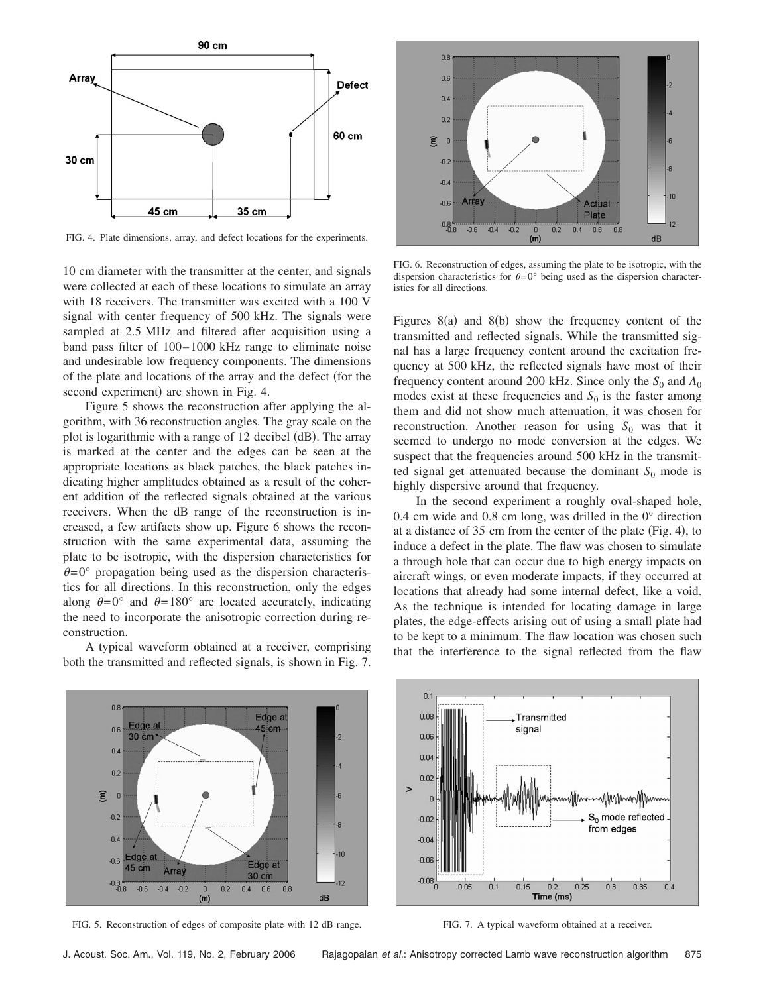

FIG. 4. Plate dimensions, array, and defect locations for the experiments.

10 cm diameter with the transmitter at the center, and signals were collected at each of these locations to simulate an array with 18 receivers. The transmitter was excited with a 100 V signal with center frequency of 500 kHz. The signals were sampled at 2.5 MHz and filtered after acquisition using a band pass filter of 100–1000 kHz range to eliminate noise and undesirable low frequency components. The dimensions of the plate and locations of the array and the defect for the second experiment) are shown in Fig. 4.

Figure 5 shows the reconstruction after applying the algorithm, with 36 reconstruction angles. The gray scale on the plot is logarithmic with a range of 12 decibel (dB). The array is marked at the center and the edges can be seen at the appropriate locations as black patches, the black patches indicating higher amplitudes obtained as a result of the coherent addition of the reflected signals obtained at the various receivers. When the dB range of the reconstruction is increased, a few artifacts show up. Figure 6 shows the reconstruction with the same experimental data, assuming the plate to be isotropic, with the dispersion characteristics for  $\theta$ =0° propagation being used as the dispersion characteristics for all directions. In this reconstruction, only the edges along  $\theta=0^{\circ}$  and  $\theta=180^{\circ}$  are located accurately, indicating the need to incorporate the anisotropic correction during reconstruction.

A typical waveform obtained at a receiver, comprising both the transmitted and reflected signals, is shown in Fig. 7.



FIG. 6. Reconstruction of edges, assuming the plate to be isotropic, with the dispersion characteristics for  $\theta=0^{\circ}$  being used as the dispersion characteristics for all directions.

Figures  $8(a)$  and  $8(b)$  show the frequency content of the transmitted and reflected signals. While the transmitted signal has a large frequency content around the excitation frequency at 500 kHz, the reflected signals have most of their frequency content around 200 kHz. Since only the  $S_0$  and  $A_0$ modes exist at these frequencies and  $S_0$  is the faster among them and did not show much attenuation, it was chosen for reconstruction. Another reason for using  $S_0$  was that it seemed to undergo no mode conversion at the edges. We suspect that the frequencies around 500 kHz in the transmitted signal get attenuated because the dominant  $S_0$  mode is highly dispersive around that frequency.

In the second experiment a roughly oval-shaped hole, 0.4 cm wide and 0.8 cm long, was drilled in the 0° direction at a distance of 35 cm from the center of the plate (Fig. 4), to induce a defect in the plate. The flaw was chosen to simulate a through hole that can occur due to high energy impacts on aircraft wings, or even moderate impacts, if they occurred at locations that already had some internal defect, like a void. As the technique is intended for locating damage in large plates, the edge-effects arising out of using a small plate had to be kept to a minimum. The flaw location was chosen such that the interference to the signal reflected from the flaw



FIG. 5. Reconstruction of edges of composite plate with 12 dB range.



FIG. 7. A typical waveform obtained at a receiver.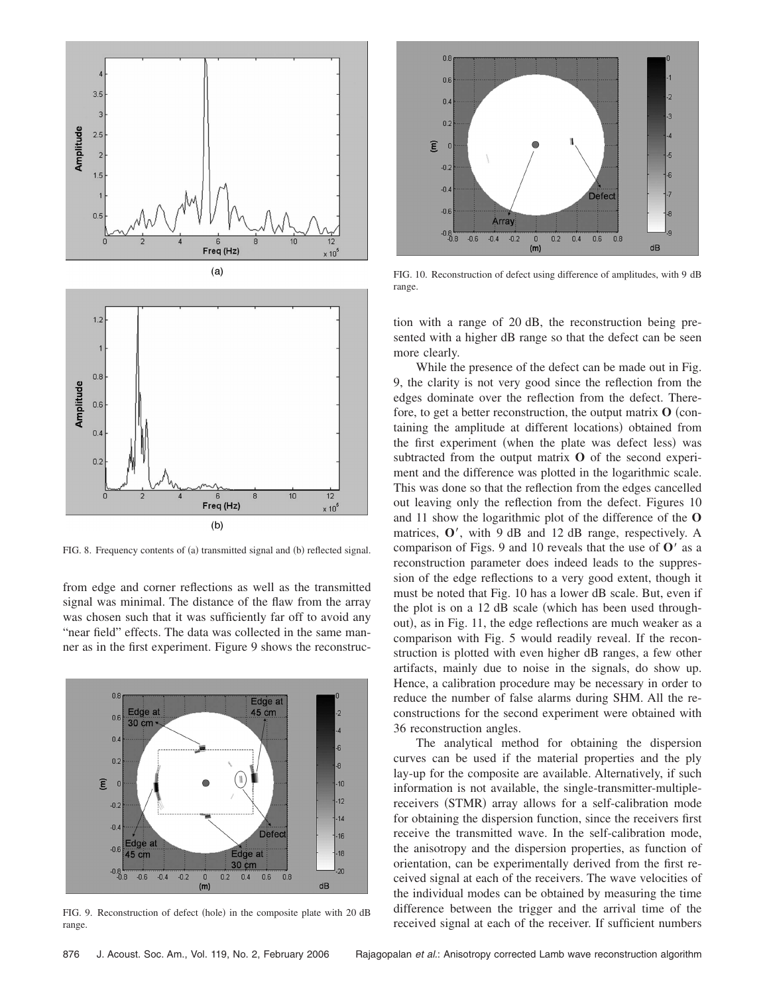



FIG. 8. Frequency contents of (a) transmitted signal and (b) reflected signal.

from edge and corner reflections as well as the transmitted signal was minimal. The distance of the flaw from the array was chosen such that it was sufficiently far off to avoid any "near field" effects. The data was collected in the same manner as in the first experiment. Figure 9 shows the reconstruc-



FIG. 9. Reconstruction of defect (hole) in the composite plate with 20 dB range.



FIG. 10. Reconstruction of defect using difference of amplitudes, with 9 dB range.

tion with a range of 20 dB, the reconstruction being presented with a higher dB range so that the defect can be seen more clearly.

While the presence of the defect can be made out in Fig. 9, the clarity is not very good since the reflection from the edges dominate over the reflection from the defect. Therefore, to get a better reconstruction, the output matrix  $O$  (containing the amplitude at different locations) obtained from the first experiment (when the plate was defect less) was subtracted from the output matrix **O** of the second experiment and the difference was plotted in the logarithmic scale. This was done so that the reflection from the edges cancelled out leaving only the reflection from the defect. Figures 10 and 11 show the logarithmic plot of the difference of the **O** matrices,  $\mathbf{O}'$ , with 9 dB and 12 dB range, respectively. A comparison of Figs. 9 and 10 reveals that the use of  $O'$  as a reconstruction parameter does indeed leads to the suppression of the edge reflections to a very good extent, though it must be noted that Fig. 10 has a lower dB scale. But, even if the plot is on a 12 dB scale (which has been used throughout), as in Fig. 11, the edge reflections are much weaker as a comparison with Fig. 5 would readily reveal. If the reconstruction is plotted with even higher dB ranges, a few other artifacts, mainly due to noise in the signals, do show up. Hence, a calibration procedure may be necessary in order to reduce the number of false alarms during SHM. All the reconstructions for the second experiment were obtained with 36 reconstruction angles.

The analytical method for obtaining the dispersion curves can be used if the material properties and the ply lay-up for the composite are available. Alternatively, if such information is not available, the single-transmitter-multiplereceivers (STMR) array allows for a self-calibration mode for obtaining the dispersion function, since the receivers first receive the transmitted wave. In the self-calibration mode, the anisotropy and the dispersion properties, as function of orientation, can be experimentally derived from the first received signal at each of the receivers. The wave velocities of the individual modes can be obtained by measuring the time difference between the trigger and the arrival time of the received signal at each of the receiver. If sufficient numbers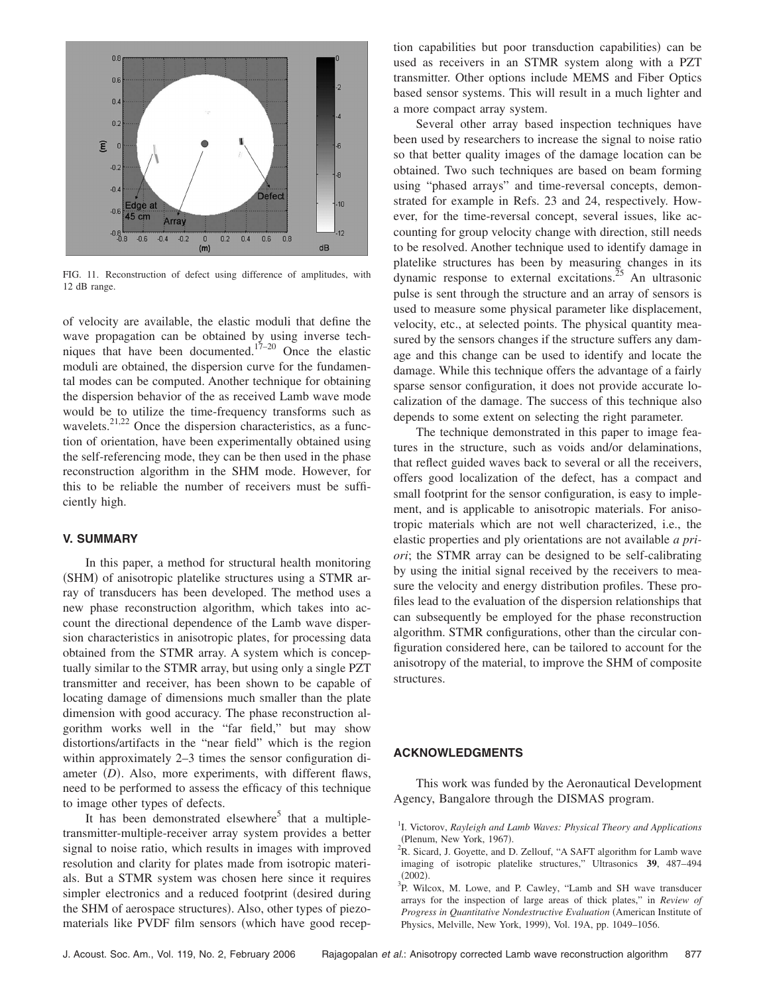

FIG. 11. Reconstruction of defect using difference of amplitudes, with 12 dB range.

of velocity are available, the elastic moduli that define the wave propagation can be obtained by using inverse techniques that have been documented.<sup>17–20</sup> Once the elastic moduli are obtained, the dispersion curve for the fundamental modes can be computed. Another technique for obtaining the dispersion behavior of the as received Lamb wave mode would be to utilize the time-frequency transforms such as wavelets. $21,22$  Once the dispersion characteristics, as a function of orientation, have been experimentally obtained using the self-referencing mode, they can be then used in the phase reconstruction algorithm in the SHM mode. However, for this to be reliable the number of receivers must be sufficiently high.

#### **V. SUMMARY**

In this paper, a method for structural health monitoring (SHM) of anisotropic platelike structures using a STMR array of transducers has been developed. The method uses a new phase reconstruction algorithm, which takes into account the directional dependence of the Lamb wave dispersion characteristics in anisotropic plates, for processing data obtained from the STMR array. A system which is conceptually similar to the STMR array, but using only a single PZT transmitter and receiver, has been shown to be capable of locating damage of dimensions much smaller than the plate dimension with good accuracy. The phase reconstruction algorithm works well in the "far field," but may show distortions/artifacts in the "near field" which is the region within approximately 2–3 times the sensor configuration diameter (D). Also, more experiments, with different flaws, need to be performed to assess the efficacy of this technique to image other types of defects.

It has been demonstrated elsewhere<sup>5</sup> that a multipletransmitter-multiple-receiver array system provides a better signal to noise ratio, which results in images with improved resolution and clarity for plates made from isotropic materials. But a STMR system was chosen here since it requires simpler electronics and a reduced footprint (desired during the SHM of aerospace structures). Also, other types of piezomaterials like PVDF film sensors (which have good recep-

tion capabilities but poor transduction capabilities) can be used as receivers in an STMR system along with a PZT transmitter. Other options include MEMS and Fiber Optics based sensor systems. This will result in a much lighter and a more compact array system.

Several other array based inspection techniques have been used by researchers to increase the signal to noise ratio so that better quality images of the damage location can be obtained. Two such techniques are based on beam forming using "phased arrays" and time-reversal concepts, demonstrated for example in Refs. 23 and 24, respectively. However, for the time-reversal concept, several issues, like accounting for group velocity change with direction, still needs to be resolved. Another technique used to identify damage in platelike structures has been by measuring changes in its dynamic response to external excitations.<sup>25</sup> An ultrasonic pulse is sent through the structure and an array of sensors is used to measure some physical parameter like displacement, velocity, etc., at selected points. The physical quantity measured by the sensors changes if the structure suffers any damage and this change can be used to identify and locate the damage. While this technique offers the advantage of a fairly sparse sensor configuration, it does not provide accurate localization of the damage. The success of this technique also depends to some extent on selecting the right parameter.

The technique demonstrated in this paper to image features in the structure, such as voids and/or delaminations, that reflect guided waves back to several or all the receivers, offers good localization of the defect, has a compact and small footprint for the sensor configuration, is easy to implement, and is applicable to anisotropic materials. For anisotropic materials which are not well characterized, i.e., the elastic properties and ply orientations are not available *a priori*; the STMR array can be designed to be self-calibrating by using the initial signal received by the receivers to measure the velocity and energy distribution profiles. These profiles lead to the evaluation of the dispersion relationships that can subsequently be employed for the phase reconstruction algorithm. STMR configurations, other than the circular configuration considered here, can be tailored to account for the anisotropy of the material, to improve the SHM of composite structures.

## **ACKNOWLEDGMENTS**

This work was funded by the Aeronautical Development Agency, Bangalore through the DISMAS program.

<sup>&</sup>lt;sup>1</sup>I. Victorov, *Rayleigh and Lamb Waves: Physical Theory and Applications* (Plenum, New York, 1967).<br> $^{2}P$  Sigard, L. Govette, and E.

 ${}^{2}R$ . Sicard, J. Goyette, and D. Zellouf, "A SAFT algorithm for Lamb wave imaging of isotropic platelike structures," Ultrasonics **39**, 487–494  $^{(2002)}_{\text{3p-Wilz}}$ 

<sup>&</sup>lt;sup>3</sup>P. Wilcox, M. Lowe, and P. Cawley, "Lamb and SH wave transducer arrays for the inspection of large areas of thick plates," in *Review of Progress in Quantitative Nondestructive Evaluation* (American Institute of Physics, Melville, New York, 1999), Vol. 19A, pp. 1049-1056.